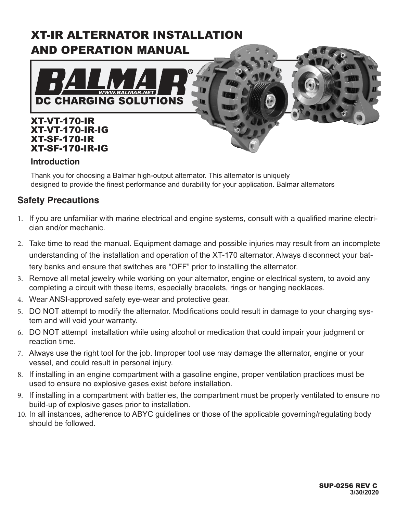# XT-IR ALTERNATOR INSTALLATION AND OPERATION MANUAL



### **Introduction**

Thank you for choosing a Balmar high-output alternator. This alternator is uniquely designed to provide the finest performance and durability for your application. Balmar alternators

# **Safety Precautions**

- 1. If you are unfamiliar with marine electrical and engine systems, consult with a qualified marine electrician and/or mechanic.
- 2. Take time to read the manual. Equipment damage and possible injuries may result from an incomplete understanding of the installation and operation of the XT-170 alternator. Always disconnect your battery banks and ensure that switches are "OFF" prior to installing the alternator.
- 3. Remove all metal jewelry while working on your alternator, engine or electrical system, to avoid any completing a circuit with these items, especially bracelets, rings or hanging necklaces.
- 4. Wear ANSI-approved safety eye-wear and protective gear.
- 5. DO NOT attempt to modify the alternator. Modifications could result in damage to your charging system and will void your warranty.
- 6. DO NOT attempt installation while using alcohol or medication that could impair your judgment or reaction time.
- 7. Always use the right tool for the job. Improper tool use may damage the alternator, engine or your vessel, and could result in personal injury.
- 8. If installing in an engine compartment with a gasoline engine, proper ventilation practices must be used to ensure no explosive gases exist before installation.
- 9. If installing in a compartment with batteries, the compartment must be properly ventilated to ensure no build-up of explosive gases prior to installation.
- 10. In all instances, adherence to ABYC guidelines or those of the applicable governing/regulating body should be followed.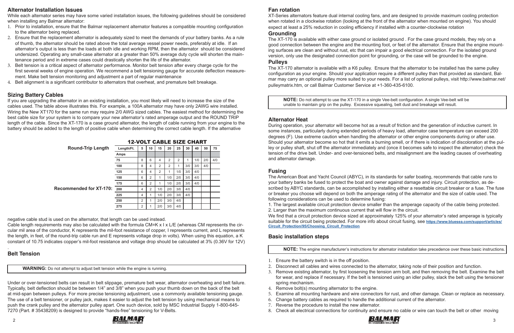

### **Alternator Installation Issues**

While each alternator series may have some varied installation issues, the following guidelines should be considered when installing any Balmar alternator:

- 1. Prior to installation, ensure that the Balmar replacement alternator features a compatible mounting configuration to the alternator being replaced.
- 2. Ensure that the replacement alternator is adequately sized to meet the demands of your battery banks. As a rule of thumb, the alternator should be rated above the total average vessel power needs, preferably at idle. If an alternator's output is less than the loads at both idle and working RPM, then the alternator should be considered undersized. Operating any small-case alternator at a greater than 50% average duty cycle will shorten the maintenance period and in extreme cases could drastically shorten the life of the alternator.
- 3. Belt tension is a critical aspect of alternator performance. Monitor belt tension after every charge cycle for the first several weeks of engine operation. We recommend a belt tensioning gauge for accurate deflection measurement. Make belt tension monitoring and adjustment a part of regular maintenance
- 4. Belt alignment is a significant contributor to alternators that overheat, and premature belt breakage.

Cable length requirements may also be calculated with the formula CM=K x I x L/E (whereas CM represents the circular mil area of the conductor, K represents the mil-foot resistance of copper, I represents current, and L represents the length, in feet, of the round-trip cable run and E represents voltage drop in volts). When using this equation, a K constant of 10.75 indicates copper's mil-foot resistance and voltage drop should be calculated at 3% (0.36V for 12V)

# **Sizing Battery Cables**

If you are upgrading the alternator in an existing installation, you most likely will need to increase the size of the cables used. The table above illustrates this. For example, a 100A alternator may have only 2AWG wire installed. Wiring the New XT170 for the same run may require 2/0 AWG sized cables. The easiest method for determining the best cable size for your system is to compare your new alternator's rated amperage output and the ROUND TRIP length of the cable. Since the XT-170 is a case ground alternator, the length of cable running from your engine to the battery should be added to the length of positive cable when determining the correct cable length. If the alternative

negative cable stud is used on the alternator, that length can be used instead.

**NOTE:** Do not attempt to use the XT-170 in a single Vee-belt configuration. A single Vee-belt will be unable to maintain grip on the pulley. Excessive squealing, belt dust and breakage will result.

#### . **Belt Tension**

**WARNING:** Do not attempt to adjust belt tension while the engine is running.

Under or over-tensioned belts can result in belt slippage, premature belt wear, alternator overheating and belt failure. Typically, belt deflection should be between 1/4" and 3/8" when you push your thumb down on the back of the belt at mid-span between pulleys. For more precise tensioning adjustment, use a commonly available tensioning gauge. The use of a belt tensioner, or pulley jack, makes it easier to adjust the belt tension by using mechanical means to push the crank pulley and the alternator pulley apart. One such device, sold by MSC Industrial Supply 1-800-645- 7270 (Part. # 35438209) is designed to provide "hands-free" tensioning for V-Belts.

12-VOLT CABLE SIZE CHART

### **Fan rotation**

XT-Series alternators feature dual internal cooling fans, and are designed to provide maximum cooling protection when rotated in a clockwise rotation (looking at the front of the alternator when mounted on engine). You should expect at least a 25% reduction in cooling efficiency if installed with a counter-clockwise rotation

#### **Grounding**

The XT-170 is available with either case ground or isolated ground . For the case ground models, they rely on a good connection between the engine and the mounting foot, or feet of the alternator. Ensure that the engine mounting surfaces are clean and without rust, etc that can impair a good electrical connection. For the isolated ground version, only use the designated connection point for grounding, or the case will be grounded to the engine.

#### **Pulleys**

The XT-170 alternator is available with a K6 pulley. Ensure that the alternator to be installed has the same pulley configuration as your engine. Should your application require a different pulley than that provided as standard, Balmar may carry an optional pulley more suited to your needs. For a list of optional pulleys, visit http://www.balmar.net/ pulleymatrix.htm, or call Balmar Customer Service at +1-360-435-6100.

### **Alternator Heat**

During operation, your alternator will become hot as a result of friction and the generation of inductive current. In some instances, particularly during extended periods of heavy load, alternator case temperature can exceed 200 degrees (F). Use extreme caution when handling the alternator or other engine components during or after use. Should your alternator become so hot that it emits a burning smell, or if there is indication of discoloration at the pulley or pulley shaft, shut off the alternator immediately and (once it becomes safe to inspect the alternator) check the tension of the drive belt. Under- and over-tensioned belts, and misalignment are the leading causes of overheating and alternator damage.

| <b>Round-Trip Length</b>       | Length/Ft. | 5 | 10 | 15             | 20             | 25  | 30  | 40  | 50  | 75  |
|--------------------------------|------------|---|----|----------------|----------------|-----|-----|-----|-----|-----|
|                                | Amps       |   |    |                |                |     |     |     |     |     |
|                                | 75         | 8 | 6  | 4              | 2              | 2   | 1   | 1/0 | 2/0 | 4/0 |
|                                | 100        | 8 | 4  | 2              | $\overline{2}$ | 1   | 3/0 | 3/0 | 4/0 |     |
|                                | 125        | 6 | 4  | $\overline{2}$ | 1              | 1/0 | 3/0 | 4/0 |     |     |
|                                | 150        | 6 | 2  | 1              | 1/0            | 2/0 | 3/0 | 4/0 |     |     |
|                                | 175        | 6 | 2  | 1              | 1/0            | 2/0 | 3/0 | 4/0 |     |     |
| <b>Recommended for XT-170:</b> | 200        | 4 | 2  | 1/0            | 2/0            | 3/0 | 4/0 |     |     |     |
|                                | 225        | 4 |    | 1/0            | 2/0            | 3/0 | 4/0 |     |     |     |
|                                | 250        | 2 |    | 2/0            | 3/0            | 4/0 |     |     |     |     |
|                                | 275        | 2 |    | 2/0            | 3/0            | 4/0 |     |     |     |     |

# **Fusing**

The American Boat and Yacht Council (ABYC), in its standards for safer boating, recommends that cable runs to your battery banks be fused to protect the boat and owner against damage and injury. Circuit protection, as described by ABYC standards, can be accomplished by installing either a resettable circuit breaker or a fuse. The fuse or breaker you choose will depend on both the amperage rating of the alternator and the size of cable used. The following considerations can be used to determine fusing: 1. The largest available circuit protection device smaller than the amperage capacity of the cable being protected. 2. Larger than the maximum continuous current that will flow in the circuit. We find that a circuit protection device sized at approximately 125% of your alternator's rated amperage is typically suitable for the circuit being protected. For more info about circuit fusing, see **[https://www.bluesea.com/support/articles/](https://www.bluesea.com/support/articles/Circuit_Protection/95/Choosing_Circuit_Protection ) [Circuit\\_Protection/95/Choosing\\_Circuit\\_Protection](https://www.bluesea.com/support/articles/Circuit_Protection/95/Choosing_Circuit_Protection )**

### **Basic installation steps**

**NOTE:** The engine manufacturer's instructions for alternator installation take precedence over these basic instructions.

3. Remove existing alternator, by first loosening the tension arm bolt, and then removing the belt. Examine the belt for wear, and replace if necessary. If the belt is tensioned using an idler pulley, slack the belt using the tensioner

- 1. Ensure the battery switch is in the off position.
- 2. Disconnect all cables and wires connected to the alternator, taking note of their position and function.
- spring mechanism.
- 4. Remove bolt(s) mounting alternator to the engine.
- 
- 6. Change battery cables as required to handle the additional current of the alternator.
- 7. Reverse the procedure to install the new alternator.
- 



5. Examine all mounting hardware and wire connectors for rust, and other damage. Clean or replace as necessary.

8. Check all electrical connections for continuity and ensure no cable or wire can touch the belt or other moving

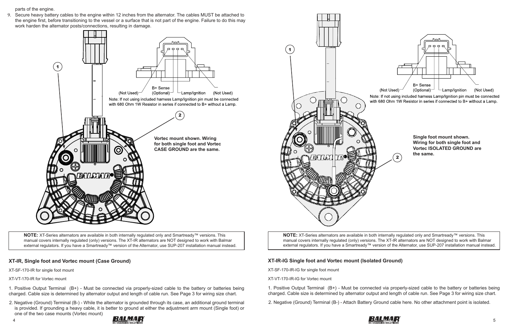

**NOTE:** XT-Series alternators are available in both internally regulated only and Smartready™ versions. This manual covers internally regulated (only) versions. The XT-IR alternators are NOT designed to work with Balmar external regulators. If you have a Smartready™ version of the Alternator, use SUP-207 installation manual instead.

#### **XT-IR, Single foot and Vortec mount (Case Ground)**

XT-SF-170-IR for single foot mount

XT-VT-170-IR for Vortec mount

1. Positive Output Terminal (B+) - Must be connected via properly-sized cable to the battery or batteries being charged. Cable size is determined by alternator output and length of cable run. See Page 3 for wiring size chart.

**NOTE:** XT-Series alternators are available in both internally regulated only and Smartready™ versions. This manual covers internally regulated (only) versions. The XT-IR alternators are NOT designed to work with Balmar external regulators. If you have a Smartready™ version of the Alternator, use SUP-207 installation manual instead.

2. Negative (Ground) Terminal (B-) - While the alternator is grounded through its case, an additional ground terminal is provided. If grounding a heavy cable, it is better to ground at either the adjustment arm mount (Single foot) or one of the two case mounts (Vortec mount)

parts of the engine.

9. Secure heavy battery cables to the engine within 12 inches from the alternator. The cables MUST be attached to the engine first, before transitioning to the vessel or a surface that is not part of the engine. Failure to do this may work harden the alternator posts/connections, resulting in damage.

# **XT-IR-IG Single foot and Vortec mount (Isolated Ground)**

XT-SF-170-IR-IG for single foot mount



XT-VT-170-IR-IG for Vortec mount

1. Positive Output Terminal (B+) - Must be connected via properly-sized cable to the battery or batteries being charged. Cable size is determined by alternator output and length of cable run. See Page 3 for wiring size chart.

2. Negative (Ground) Terminal (B-) - Attach Battery Ground cable here. No other attachment point is isolated.







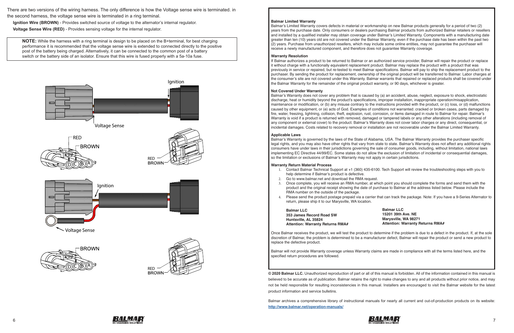

#### **Balmar Limited Warranty**

Balmar's Limited Warranty covers defects in material or workmanship on new Balmar products generally for a period of two (2) years from the purchase date. Only consumers or dealers purchasing Balmar products from authorized Balmar retailers or resellers and installed by a qualified installer may obtain coverage under Balmar's Limited Warranty. Components with a manufacturing date greater than ten (10) years old are not covered under the Balmar Warranty, even if the purchase date has been within the past two (2) years. Purchase from unauthorized resellers, which may include some online entities, may not guarantee the purchaser will receive a newly manufactured component, and therefore does not guarantee Warranty coverage.

#### **Warranty Resolution**

If Balmar authorizes a product to be returned to Balmar or an authorized service provider, Balmar will repair the product or replace it without charge with a functionally equivalent replacement product. Balmar may replace the product with a product that was previously in service or repaired, but re-tested to meet Balmar specifications. Balmar will pay to ship the replacement product to the purchaser. By sending the product for replacement, ownership of the original product will be transferred to Balmar. Labor charges at the consumer's site are not covered under this Warranty. Balmar warrants that repaired or replaced products shall be covered under the Balmar Warranty for the remainder of the original product warranty, or 90 days, whichever is greater.

#### **Not Covered Under Warranty**

Balmar's Warranty does not cover any problem that is caused by (a) an accident, abuse, neglect, exposure to shock, electrostatic discharge, heat or humidity beyond the product's specifications, improper installation, inappropriate operation/misapplication, maintenance or modification, or (b) any misuse contrary to the instructions provided with the product, or (c) loss, or (d) malfunctions caused by other equipment, or (e) acts of God. Examples of conditions not warranted: cracked or broken cases, parts damaged by fire, water, freezing, lightning, collision, theft, explosion, rust, corrosion, or items damaged in route to Balmar for repair. Balmar's Warranty is void if a product is returned with removed, damaged or tampered labels or any other alterations (including removal of any component or external cover) to the product. Balmar's Warranty does not cover labor charges or any direct, consequential, or incidental damages. Costs related to recovery removal or installation are not recoverable under the Balmar Limited Warranty.

#### **Applicable Laws**

Balmar's Warranty is governed by the laws of the State of Alabama, USA. The Balmar Warranty provides the purchaser specific legal rights, and you may also have other rights that vary from state to state. Balmar's Warranty does not affect any additional rights consumers have under laws in their jurisdictions governing the sale of consumer goods, including, without limitation, national laws implementing EC Directive 44/99/EC. Some states do not allow the exclusion of limitation of incidental or consequential damages, so the limitation or exclusions of Balmar's Warranty may not apply in certain jurisdictions.

#### **Warranty Return Material Process**

1. Contact Balmar Technical Support at +1 (360) 435-6100. Tech Support will review the troubleshooting steps with you to

3. Once complete, you will receive an RMA number, at which point you should complete the forms and send them with the product and the original receipt showing the date of purchase to Balmar at the address listed below. Please include the

- help determine if Balmar's product is defective.
- 2. Go to www.balmar.net and download the RMA request.
- RMA number on the outside of the package.
- return, please ship it to our Marysville, WA location.

4. Please send the product postage prepaid via a carrier that can track the package. Note: If you have a 9-Series Alternator to

**Balmar LLC 353 James Record Road SW Huntsville, AL 35824 Attention: Warranty Returns RMA#**

Once Balmar receives the product, we will test the product to determine if the problem is due to a defect in the product. If, at the sole discretion of Balmar, the problem is determined to be a manufacturer defect, Balmar will repair the product or send a new product to replace the defective product.

Balmar will not provide Warranty coverage unless Warranty claims are made in compliance with all the terms listed here, and the specified return procedures are followed.

**© 2020 Balmar LLC.** Unauthorized reproduction of part or all of this manual is forbidden. All of the information contained in this manual is believed to be accurate as of publication. Balmar retains the right to make changes to any and all products without prior notice, and may not be held responsible for resulting inconsistencies in this manual. Installers are encouraged to visit the Balmar website for the latest product information and service bulletins.

Balmar archives a comprehensive library of instructional manuals for nearly all current and out-of-production products on its website: **http://www.balmar.net/operation-manuals/**

**Balmar LLC 15201 39th Ave. NE Marysville, WA 98271 Attention: Warranty Returns RMA#**



There are two versions of the wiring harness. The only difference is how the Voltage sense wire is terminated. in the second harness, the voltage sense wire is terminated in a ring terminal.

 **Ignition Wire (BROWN)** - Provides switched source of voltage to the alternator's internal regulator.

 **Voltage Sense Wire (RED)** - Provides sensing voltage for the internal regulator.

**NOTE:** While the harness with a ring terminal is design to be placed on the B+terminal, for best charging performance it is recommended that the voltage sense wire is extended to connected directly to the positive post of the battery being charged. Alternatively, it can be connected to the common post of a battery switch or the battery side of an isolator. Ensure that this wire is fused properly with a 5a-10a fuse.